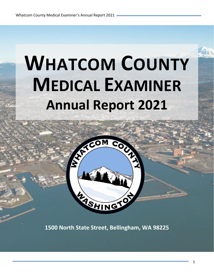# **WHATCOM COUNTY MEDICAL EXAMINER Annual Report 2021**



**1500 North State Street, Bellingham, WA 98225**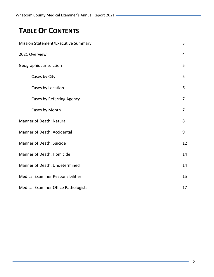# **TABLE OF CONTENTS**

| <b>Mission Statement/Executive Summary</b>  | 3              |
|---------------------------------------------|----------------|
| 2021 Overview                               | 4              |
| Geographic Jurisdiction                     | 5              |
| Cases by City                               | 5              |
| Cases by Location                           | 6              |
| Cases by Referring Agency                   | $\overline{7}$ |
| Cases by Month                              | $\overline{7}$ |
| <b>Manner of Death: Natural</b>             | 8              |
| Manner of Death: Accidental                 | 9              |
| <b>Manner of Death: Suicide</b>             | 12             |
| <b>Manner of Death: Homicide</b>            | 14             |
| Manner of Death: Undetermined               | 14             |
| <b>Medical Examiner Responsibilities</b>    | 15             |
| <b>Medical Examiner Office Pathologists</b> | 17             |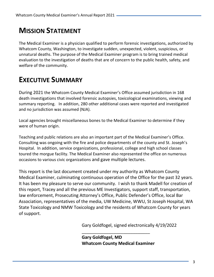# **MISSION STATEMENT**

The Medical Examiner is a physician qualified to perform forensic investigations, authorized by Whatcom County, Washington, to investigate sudden, unexpected, violent, suspicious, or unnatural deaths. The purpose of the Medical Examiner program is to bring trained medical evaluation to the investigation of deaths that are of concern to the public health, safety, and welfare of the community.

# **EXECUTIVE SUMMARY**

During 2021 the Whatcom County Medical Examiner's Office assumed jurisdiction in 168 death investigations that involved forensic autopsies, toxicological examinations, viewing and summary reporting. In addition, 280 other additional cases were reported and investigated and no jurisdiction was assumed (NJA).

Local agencies brought miscellaneous bones to the Medical Examiner to determine if they were of human origin.

Teaching and public relations are also an important part of the Medical Examiner's Office. Consulting was ongoing with the fire and police departments of the county and St. Joseph's Hospital. In addition, service organizations, professional, college and high school classes toured the morgue facility. The Medical Examiner also represented the office on numerous occasions to various civic organizations and gave multiple lectures.

This report is the last document created under my authority as Whatcom County Medical Examiner, culminating continuous operation of the Office for the past 32 years. It has been my pleasure to serve our community. I wish to thank Madell for creation of this report, Tracey and all the previous ME Investigators, support staff, transportation, law enforcement, Prosecuting Attorney's Office, Public Defender's Office, local Bar Association, representatives of the media, UW Medicine, WWU, St Joseph Hospital, WA State Toxicology and NMW Toxicology and the residents of Whatcom County for years of support.

Gary Goldfogel, signed electronically 4/19/2022

**Gary Goldfogel, MD Whatcom County Medical Examiner**

\_\_\_\_\_\_\_\_\_\_\_\_\_\_\_\_\_\_\_\_\_\_\_\_\_\_\_\_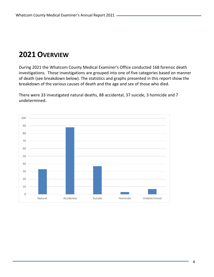# **OVERVIEW**

During 2021 the Whatcom County Medical Examiner's Office conducted 168 forensic death investigations. Those investigations are grouped into one of five categories based on manner of death (see breakdown below). The statistics and graphs presented in this report show the breakdown of the various causes of death and the age and sex of those who died.

There were 33 investigated natural deaths, 88 accidental, 37 suicide, 3 homicide and 7 undetermined.

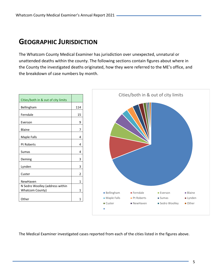# **GEOGRAPHIC JURISDICTION**

The Whatcom County Medical Examiner has jurisdiction over unexpected, unnatural or unattended deaths within the county. The following sections contain figures about where in the County the investigated deaths originated, how they were referred to the ME's office, and the breakdown of case numbers by month.



The Medical Examiner investigated cases reported from each of the cities listed in the figures above.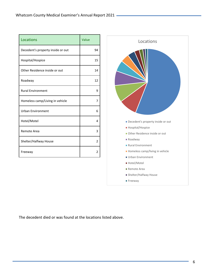| Locations                         | Value          |
|-----------------------------------|----------------|
| Decedent's property inside or out | 94             |
| Hospital/Hospice                  | 15             |
| Other Residence inside or out     | 14             |
| Roadway                           | 12             |
| <b>Rural Environment</b>          | 9              |
| Homeless camp/Living in vehicle   | 7              |
| <b>Urban Environment</b>          | 6              |
| Hotel/Motel                       | 4              |
| Remote Area                       | 3              |
| Shelter/Halfway House             | $\overline{2}$ |
| Freeway                           | 2              |



The decedent died or was found at the locations listed above.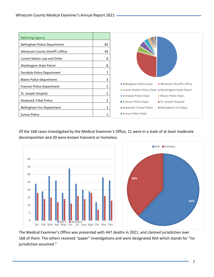| <b>Referring Agency</b>         |    |                                                                                             |
|---------------------------------|----|---------------------------------------------------------------------------------------------|
| Bellingham Police Department    | 85 |                                                                                             |
| Whatcom County Sheriff's Office | 49 |                                                                                             |
| Lummi Nation Law and Order      | 8  |                                                                                             |
| Washington State Patrol         | 8  |                                                                                             |
| Ferndale Police Department      | 7  |                                                                                             |
| Blaine Police Department.       | 3  |                                                                                             |
| Everson Police Department       | 2  | ■ Whatcom Sheriff's Office<br><b>Bellingham Police Dept.</b>                                |
| St. Joseph Hospital.            | 2  | ■ Lummi Nation Police Dept. ■ Washington State Patrol                                       |
| <b>Nooksack Tribal Police</b>   | 2  | Ferndale Police Dept.<br>Blaine Police Dept.<br>Everson Police Dept.<br>St. Joseph Hospital |
| Bellingham Fire Department      | 1  | Nooksack Triabal Police<br><b>Bellingham Fire Dept.</b>                                     |
| Sumas Police                    | 1  | Sumas Police Dept.                                                                          |

Of the 168 cases investigated by the Medical Examiner's Office, 11 were in a state of at least moderate decomposition and 20 were known transient or homeless.



The Medical Examiner's Office was presented with 447 deaths in 2021, and claimed jurisdiction over 168 of them. The others received "paper" investigations and were designated NJA which stands for "no jurisdiction assumed."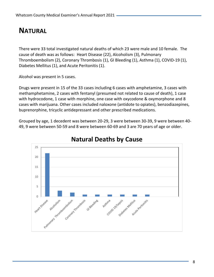# **NATURAL**

There were 33 total investigated natural deaths of which 23 were male and 10 female. The cause of death was as follows: Heart Disease (22), Alcoholism (3), Pulmonary Thromboembolism (2), Coronary Thrombosis (1), GI Bleeding (1), Asthma (1), COVID-19 (1), Diabetes Mellitus (1), and Acute Peritonitis (1).

Alcohol was present in 5 cases.

Drugs were present in 15 of the 33 cases including 6 cases with amphetamine, 3 cases with methamphetamine, 2 cases with fentanyl (presumed not related to cause of death), 1 case with hydrocodone, 1 case with morphine, one case with oxycodone & oxymorphone and 8 cases with marijuana. Other cases included naloxone (antidote to opiates), benzodiazepines, buprenorphine, tricyclic antidepressant and other prescribed medications.

Grouped by age, 1 decedent was between 20-29, 3 were between 30-39, 9 were between 40- 49, 9 were between 50-59 and 8 were between 60-69 and 3 are 70 years of age or older.



# **Natural Deaths by Cause**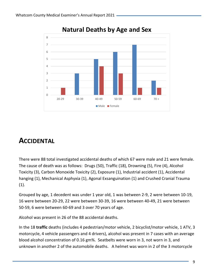

# **Natural Deaths by Age and Sex**

# **ACCIDENTAL**

There were 88 total investigated accidental deaths of which 67 were male and 21 were female. The cause of death was as follows: Drugs (50), Traffic (18), Drowning (5), Fire (4), Alcohol Toxicity (3), Carbon Monoxide Toxicity (2), Exposure (1), Industrial accident (1), Accidental hanging (1), Mechanical Asphyxia (1), Agonal Exsanguination (1) and Crushed Cranial Trauma (1).

Grouped by age, 1 decedent was under 1 year old, 1 was between 2-9, 2 were between 10-19, 16 were between 20-29, 22 were between 30-39, 16 were between 40-49, 21 were between 50-59, 6 were between 60-69 and 3 over 70 years of age.

Alcohol was present in 26 of the 88 accidental deaths.

In the 18 **traffic** deaths (includes 4 pedestrian/motor vehicle, 2 bicyclist/motor vehicle, 1 ATV, 3 motorcycle, 4 vehicle passengers and 4 drivers), alcohol was present in 7 cases with an average blood alcohol concentration of 0.16 gm%. Seatbelts were worn in 3, not worn in 3, and unknown in another 2 of the automobile deaths. A helmet was worn in 2 of the 3 motorcycle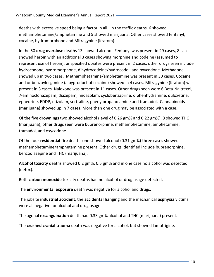deaths with excessive speed being a factor in all. In the traffic deaths, 6 showed methamphetamine/amphetamine and 5 showed marijuana. Other cases showed fentanyl, cocaine, hydromorphone and Mitragynine (Kratom).

In the 50 **drug overdose** deaths 13 showed alcohol. Fentanyl was present in 29 cases, 8 cases showed heroin with an additional 3 cases showing morphine and codeine (assumed to represent use of heroin), unspecified opiates were present in 2 cases, other drugs seen include hydrocodone, hydromorphone, dihydrocodeine/hydrocodol, and oxycodone. Methadone showed up in two cases. Methamphetamine/amphetamine was present in 30 cases. Cocaine and or benzoylecgonine (a byproduct of cocaine) showed in 4 cases. Mitragynine (Kratom) was present in 3 cases. Naloxone was present in 11 cases. Other drugs seen were 6 Beta-Naltrexol, 7-aminoclonazepam, diazepam, midazolam, cyclobenzaprine, diphenhydramine, duloxetine, ephedrine, EDDP, etizolam, sertraline, phenylpropanolamine and tramadol. Cannabinoids (marijuana) showed up in 7 cases. More than one drug may be associated with a case.

Of the five **drownings** two showed alcohol (level of 0.26 gm% and 0.22 gm%), 3 showed THC (marijuana), other drugs seen were buprenorphine, methamphetamine, amphetamine, tramadol, and oxycodone.

Of the four **residential fire** deaths one showed alcohol (0.31 gm%) three cases showed methamphetamine/amphetamine present. Other drugs identified include buprenorphine, benzodiazepine and THC (marijuana).

**Alcohol toxicity** deaths showed 0.2 gm%, 0.5 gm% and in one case no alcohol was detected (detox).

Both **carbon monoxide** toxicity deaths had no alcohol or drug usage detected.

The **environmental exposure** death was negative for alcohol and drugs.

The jobsite **industrial accident**, the **accidental hanging** and the mechanical **asphyxia** victims were all negative for alcohol and drug usage.

The agonal **exsanguination** death had 0.33 gm% alcohol and THC (marijuana) present.

The **crushed cranial trauma** death was negative for alcohol, but showed lamotrigine.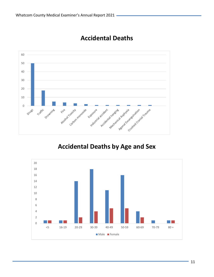

# **Accidental Deaths**

# **Accidental Deaths by Age and Sex**

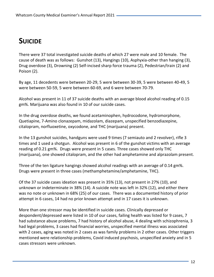# **SUICIDE**

There were 37 total investigated suicide deaths of which 27 were male and 10 female. The cause of death was as follows: Gunshot (13), Hangings (10), Asphyxia-other than hanging (3), Drug overdose (3), Drowning (2) Self-incised sharp force trauma (2), Pedestrian/train (2) and Poison (2).

By age, 11 decedents were between 20-29, 5 were between 30-39, 5 were between 40-49, 5 were between 50-59, 5 were between 60-69, and 6 were between 70-79.

Alcohol was present in 11 of 37 suicide deaths with an average blood alcohol reading of 0.15 gm%. Marijuana was also found in 10 of our suicide cases.

In the drug overdose deaths, we found acetaminophen, hydrocodone, hydromorphone, Quetiapine, 7-Amino clonazepam, midazolam, diazepam, unspecified benzodiazepine, citalopram, norfluoxetine, oxycodone, and THC (marijuana) present.

In the 13 gunshot suicides, handguns were used 9 times (7 semiauto and 2 revolver), rifle 3 times and 1 used a shotgun. Alcohol was present in 6 of the gunshot victims with an average reading of 0.21 gm%. Drugs were present in 5 cases. Three cases showed only THC (marijuana), one showed citalopram, and the other had amphetamine and alprazolam present.

Three of the ten ligature hangings showed alcohol readings with an average of 0.14 gm%. Drugs were present in three cases (methamphetamine/amphetamine, THC).

Of the 37 suicide cases ideation was present in 35% (13), not present in 27% (10), and unknown or indeterminate in 38% (14). A suicide note was left in 32% (12), and either there was no note or unknown in 68% (25) of our cases. There was a documented history of prior attempt in 6 cases, 14 had no prior known attempt and in 17 cases it is unknown.

More than one stressor may be identified in suicide cases. Clinically depressed or despondent/depressed were listed in 10 of our cases, failing health was listed for 9 cases, 7 had substance abuse problems, 7 had history of alcohol abuse, 4 dealing with schizophrenia, 3 had legal problems, 3 cases had financial worries, unspecified mental illness was associated with 2 cases, aging was noted in 2 cases as was family problems in 2 other cases. Other triggers mentioned were relationship problems, Covid induced psychosis, unspecified anxiety and in 5 cases stressors were unknown.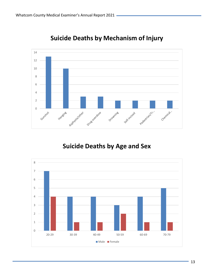

# **Suicide Deaths by Mechanism of Injury**

# **Suicide Deaths by Age and Sex**

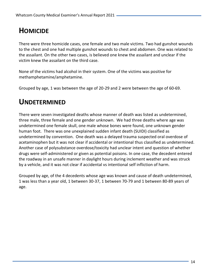# **HOMICIDE**

There were three homicide cases, one female and two male victims. Two had gunshot wounds to the chest and one had multiple gunshot wounds to chest and abdomen. One was related to the assailant. On the other two cases, is believed one knew the assailant and unclear if the victim knew the assailant on the third case.

None of the victims had alcohol in their system. One of the victims was positive for methamphetamine/amphetamine.

Grouped by age, 1 was between the age of 20-29 and 2 were between the age of 60-69.

# **UNDETERMINED**

There were seven investigated deaths whose manner of death was listed as undetermined, three male, three female and one gender unknown. We had three deaths where age was undetermined one female skull, one male whose bones were found, one unknown gender human foot. There was one unexplained sudden infant death (SUIDI) classified as undetermined by convention. One death was a delayed trauma suspected oral overdose of acetaminophen but it was not clear if accidental or intentional thus classified as undetermined. Another case of polysubstance overdose/toxicity had unclear intent and question of whether drugs were self-administered or given as potential poisons. In one case, the decedent entered the roadway in an unsafe manner in daylight hours during inclement weather and was struck by a vehicle, and it was not clear if accidental vs intentional self infliction of harm.

Grouped by age, of the 4 decedents whose age was known and cause of death undetermined, 1 was less than a year old, 1 between 30-37, 1 between 70-79 and 1 between 80-89 years of age.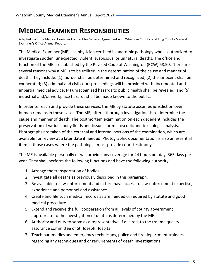# **MEDICAL EXAMINER RESPONSIBILITIES**

Adapted from the Medical Examiner Contract for Services Agreement with Whatcom County, and King County Medical Examiner's Office Annual Report.

The Medical Examiner (ME) is a physician certified in anatomic pathology who is authorized to investigate sudden, unexpected, violent, suspicious, or unnatural deaths. The office and function of the ME is established by the Revised Code of Washington (RCW) 68.50. There are several reasons why a ME is to be utilized in the determination of the cause and manner of death. They include: (1) murder shall be determined and recognized; (2) the innocent shall be exonerated; (3) criminal and civil court proceedings will be provided with documented and impartial medical advice; (4) unrecognized hazards to public health shall be revealed; and (5) industrial and/or workplace hazards shall be made known to the public.

In order to reach and provide these services, the ME by statute assumes jurisdiction over human remains in these cases. The ME, after a thorough investigation, is to determine the cause and manner of death. The postmortem examination on each decedent includes the preservation of various body fluids and tissues for microscopic and toxicologic analysis. Photographs are taken of the external and internal portions of the examination, which are available for review at a later date if needed. Photographic documentation is also an essential item in those cases where the pathologist must provide court testimony.

The ME is available personally or will provide any coverage for 24 hours per day, 365 days per year. They shall perform the following functions and have the following authority:

- 1. Arrange the transportation of bodies.
- 2. Investigate all deaths as previously described in this paragraph.
- 3. Be available to law-enforcement and in turn have access to law-enforcement expertise, experience and personnel and assistance.
- 4. Create and file such medical records as are needed or required by statute and good medical procedure.
- 5. Extend and receive the full cooperation from all levels of county government appropriate to the investigation of death as determined by the ME.
- 6. Authority and duty to serve as a representative, if desired, to the trauma quality assurance committee of St. Joseph Hospital.
- 7. Teach paramedics and emergency technicians, police and fire department trainees regarding any techniques and or requirements of death investigations.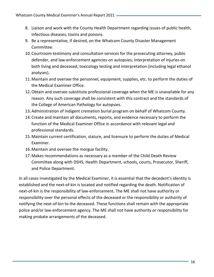- 8. Liaison and work with the County Health Department regarding issues of public health, infectious diseases, toxins and poisons.
- 9. Be a representative, if desired, on the Whatcom County Disaster Management Committee.
- 10.Courtroom testimony and consultation services for the prosecuting attorney, public defender, and law-enforcement agencies on autopsies, interpretation of injuries on both living and deceased, toxicology testing and interpretation (including legal ethanol analyses).
- 11.Maintain and oversee the personnel, equipment, supplies, etc. to perform the duties of the Medical Examiner Office.
- 12.Obtain and oversee substitute professional coverage when the ME is unavailable for any reason. Any such coverage shall be consistent with this contract and the standards of the College of American Pathology for autopsies.
- 13.Administration of indigent cremation burial program on behalf of Whatcom County.
- 14.Create and maintain all documents, reports, and evidence necessary to perform the function of the Medical Examiner Office in accordance with relevant legal and professional standards.
- 15.Maintain current certification, stature, and licensure to perform the duties of Medical Examiner.
- 16.Maintain and oversee the morgue facility.
- 17.Makes recommendations as necessary as a member of the Child Death Review Committee along with DSHS, Health Department, schools, courts, Prosecutor, Sheriff, and Police Department.

In all cases investigated by the Medical Examiner, it is essential that the decedent's identity is established and the next-of-kin is located and notified regarding the death. Notification of next-of-kin is the responsibility of law-enforcement. The ME shall not have authority or responsibility over the personal effects of the deceased or the responsibility or authority of notifying the next-of-kin to the deceased. These functions shall remain with the appropriate police and/or law-enforcement agency. The ME shall not have authority or responsibility for making probate arrangements of the deceased.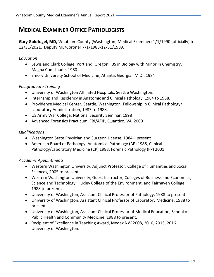# **MEDICAL EXAMINER OFFICE PATHOLOGISTS**

**Gary Goldfogel, MD,** Whatcom County (Washington) Medical Examiner: 1/1/1990 (officially) to 12/31/2021. Deputy ME/Coroner 7/1/1988-12/31/1989.

#### *Education*

- Lewis and Clark College, Portland, Oregon. BS in Biology with Minor in Chemistry. Magna Cum Laude, 1980.
- Emory University School of Medicine, Atlanta, Georgia. M.D., 1984

#### *Postgraduate Training*

- University of Washington Affiliated Hospitals, Seattle Washington.
- Internship and Residency in Anatomic and Clinical Pathology, 1984 to 1988.
- Providence Medical Center, Seattle, Washington. Fellowship in Clinical Pathology/ Laboratory Administration, 1987 to 1988.
- US Army War College, National Security Seminar, 1998
- Advanced Forensics Practicum, FBI/AFIP, Quantico, VA 2000

#### *Qualifications*

- Washington State Physician and Surgeon License, 1984—present
- American Board of Pathology: Anatomical Pathology (AP) 1988, Clinical Pathology/Laboratory Medicine (CP) 1988, Forensic Pathology (FP) 2001

## *Academic Appointments*

- Western Washington University, Adjunct Professor, College of Humanities and Social Sciences, 2005 to present.
- Western Washington University, Guest Instructor, Colleges of Business and Economics, Science and Technology, Huxley College of the Environment, and Fairhaven College, 1988 to present.
- University of Washington, Assistant Clinical Professor of Pathology, 1988 to present.
- University of Washington, Assistant Clinical Professor of Laboratory Medicine, 1988 to present.
- University of Washington, Assistant Clinical Professor of Medical Education, School of Public Health and Community Medicine, 1988 to present.
- Recipient of Excellence in Teaching Award, Medex NW 2008, 2010, 2015, 2016. University of Washington.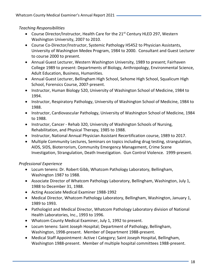*Teaching Responsibilities*

- Course Director/Instructor, Health Care for the 21<sup>st</sup> Century HLED 297, Western Washington University, 2007 to 2010.
- Course Co-Director/Instructor, Systemic Pathology H5452 to Physician Assistants, University of Washington Medex Program, 1984 to 2000. Consultant and Guest Lecturer to course 2000 to present.
- Annual Guest Lecturer, Western Washington University, 1989 to present; Fairhaven College 1989 to present: Departments of Biology, Anthropology, Environmental Science, Adult Education, Business, Humanities.
- Annual Guest Lecturer, Bellingham High School, Sehome High School, Squalicum High School, Forensics Course, 2007-present.
- Instructor, Human Biology 520, University of Washington School of Medicine, 1984 to 1994.
- Instructor, Respiratory Pathology, University of Washington School of Medicine, 1984 to 1988.
- Instructor, Cardiovascular Pathology, University of Washington School of Medicine, 1984 to 1988.
- Instructor, Cancer Rehab 320, University of Washington Schools of Nursing, Rehabilitation, and Physical Therapy, 1985 to 1988.
- Instructor, National Annual Physician Assistant Recertification course, 1989 to 2017.
- Multiple Community Lectures, Seminars on topics including drug testing, strangulation, AIDS, SIDS, Bioterrorism, Community Emergency Management, Crime Scene Investigation, Strangulation, Death Investigation. Gun Control Violence. 1999-present.

# *Professional Experience*

- Locum tenens: Dr. Robert Gibb, Whatcom Pathology Laboratory, Bellingham, Washington 1987 to 1988.
- Associate Director of Whatcom Pathology Laboratory, Bellingham, Washington, July 1, 1988 to December 31, 1988.
- Acting Associate Medical Examiner 1988-1992
- Medical Director, Whatcom Pathology Laboratory, Bellingham, Washington, January 1, 1989 to 1993.
- Pathologist and Medical Director, Whatcom Pathology Laboratory division of National Health Laboratories, Inc., 1993 to 1996.
- Whatcom County Medical Examiner, July 1, 1992 to present.
- Locum tenens: Saint Joseph Hospital; Department of Pathology, Bellingham, Washington, 1998-present. Member of Department 1988-present.
- Medical Staff Appointment: Active I Category; Saint Joseph Hospital, Bellingham, Washington 1988-present. Member of multiple hospital committees 1988-present.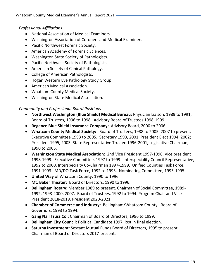## *Professional Affiliations*

- National Association of Medical Examiners.
- Washington Association of Coroners and Medical Examiners
- Pacific Northwest Forensic Society.
- American Academy of Forensic Sciences.
- Washington State Society of Pathologists.
- Pacific Northwest Society of Pathologists.
- American Society of Clinical Pathology.
- College of American Pathologists.
- Hogan Western Eye Pathology Study Group.
- American Medical Association.
- Whatcom County Medical Society.
- Washington State Medical Association.

#### *Community and Professional Board Positions*

- **Northwest Washington (Blue Shield) Medical Bureau:** Physician Liaison, 1989 to 1991, Board of Trustees, 1996 to 1998. Advisory Board of Trustees 1998-1999.
- **Regence Blue Shield Insurance Company:** Advisory Board, 2000 to 2006.
- **Whatcom County Medical Society:** Board of Trustees, 1988 to 2005, 2007 to present. Executive Committee 1993 to 2005. Secretary 1993, 2001; President Elect 1994, 2002; President 1995, 2003. State Representative Trustee 1996-2001, Legislative Chairman, 1990 to 2005.
- **Washington State Medical Association:** 2nd Vice President 1997-1998, Vice president 1998-1999. Executive Committee, 1997 to 1999. Interspeciality Council Representative, 1992 to 2000, Interspecialty Co-Chairman 1997-1999. Unified Counties Task Force, 1991-1993. MD/DO Task Force, 1992 to 1993. Nominating Committee, 1993-1995.
- **United Way** of Whatcom County: 1990 to 1996.
- **Mt. Baker Theater:** Board of Directors, 1990 to 1996.
- **Bellingham Rotary:** Member 1989 to present. Chairman of Social Committee, 1989- 1992, 1998-2000, 2007. Board of Trustees, 1992 to 1994. Program Chair and Vice President 2018-2019. President 2020-2021.
- **Chamber of Commerce and Industry**: Bellingham/Whatcom County. Board of Governors, 1993 to 1994.
- **Gang Nail Truss Co.:** Chairman of Board of Directors, 1996 to 1999.
- **Bellingham City Council:** Political Candidate 1997, lost in final election.
- **Saturna Investment:** Sextant Mutual Funds Board of Directors, 1995 to present. Chairman of Board of Directors 2017-present.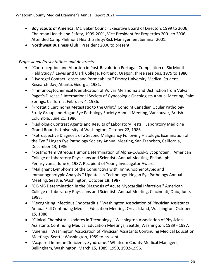- **Boy Scouts of America:** Mt. Baker Council Executive Board of Directors 1999 to 2006, Chairman Health and Safety, 1999-2001, Vice President for Properties 2001 to 2006. Attended Camp Philmont Health Safety/Risk Management Seminar 2001.
- **Northwest Business Club:** President 2000 to present.

## *Professional Presentations and Abstracts*

- "Contraception and Abortion in Post-Revolution Portugal. Compilation of Six Month Field Study." Lewis and Clark College, Portland, Oregon, three sessions, 1979 to 1980.
- "Hydrogel Contact Lenses and Permeability." Emory University Medical Student Research Day, Atlanta, Georgia, 1981.
- "Immunocytochemical Identification of Vulvar Melanoma and Distinction from Vulvar Paget's Disease." International Society of Gynecologic Oncologists Annual Meeting, Palm Springs, California, February 4, 1986.
- "Prostatic Carcinoma Metastatic to the Orbit." Conjoint Canadian Ocular Pathology Study Group and Hogan Eye Pathology Society Annual Meeting, Vancouver, British Columbia, June 21, 1986.
- "Radiologic Contrast Agents and Results of Laboratory Tests." Laboratory Medicine Grand Rounds, University of Washington, October 22, 1986.
- "Retrospective Diagnosis of a Second Malignancy Following Histologic Examination of the Eye." Hogan Eye Pathology Society Annual Meeting, San Francisco, California, December 13, 1986.
- "Postmortem Vitreous Humor Determination of Alpha-1-Acid-Glycoprotein." American College of Laboratory Physicians and Scientists Annual Meeting, Philadelphia, Pennsylvania, June 6, 1987. Recipient of Young Investigator Award.
- "Malignant Lymphoma of the Conjunctiva with 'Immunophenotypic and Immunogenotypic Analysis." Updates in Technology. Hogan Eye Pathology Annual Meeting, Seattle, Washington, October 18, 1987.
- "CK-MB Determination in the Diagnosis of Acute Myocardial Infarction." American College of Laboratory Physicians and Scientists Annual Meeting, Cincinnati, Ohio, June, 1988.
- "Recognizing Infectious Endocarditis." Washington Association of Physician Assistants Annual Fall Continuing Medical Education Meeting, Orcas Island, Washington, October 15*,* 1988.
- "Clinical Chemistry Updates in Technology." Washington Association of Physician Assistants Continuing Medical Education Meetings, Seattle, Washington, 1989 - 1997.
- "Anemia." Washington Association of Physician Assistants Continuing Medical Education Meetings, Seattle Washington, 1989 to present.
- "Acquired Immune Deficiency Syndrome." Whatcom County Medical Managers, Bellingham, Washington, March 15*,* 1989, 1990, 1992-1996.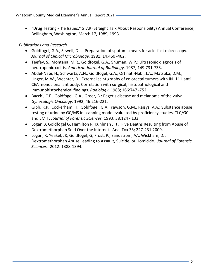• "Drug Testing -The Issues." STAR (Straight Talk About Responsibility) Annual Conference, Bellingham, Washington, March 17, 1989, 1993.

## *Publications and Research*

- Goldfogel, G.A., Sewell, D.L.: Preparation of sputum smears for acid-fast microscopy. *Journal of Clinical Microbiology.* 1981; 14:460 -462.
- Teefey, S., Montana, M.R., Goldfogel, G.A., Shuman, W.P.: Ultrasonic diagnosis of neutropenic colitis. *American Journal of Radiology.* 1987; 149:731-733.
- Abdel-Nabi, H., Schwartz, A.N., Goldfogel, G.A., Ortinati-Nabi, J.A., Matsuka, D.M., Unger, M.W., Wechter, D.: External scintigraphy of colorectal tumors with IN- 111-anti CEA monoclonal antibody: Correlation with surgical, histopathological and immunohistochemical findings. *Radiology.* 1988; 166:747 -752.
- Bacchi, C.E., Goldfogel, G.A., Greer, B.: Paget's disease and melanoma of the vulva. *Gynecologic Oncology.* 1992; 46:216-221.
- Gibb, R.P., Cockerham, H., Goldfogel, G.A., Yawson, G.M., Raisys, V.A.: Substance abuse testing of urine by GC/MS in scanning mode evaluated by proficiency studies, TLC/GC and EMIT. *Journal of Forensic Sciences.* 1993; 38:124 - 133.
- Logan B, Goldfogel G, Hamilton R, Kuhlman J. J . Five Deaths Resulting from Abuse of Dextromethorphan Sold Over the Internet. Anal Tox 33; 227-231:2009.
- Logan, K, Yeakel, JK, Goldfogel, G, Frost, P., Sandstrom, AA, Wickham, DJ: Dextromethorphan Abuse Leading to Assault, Suicide, or Homicide. *Journal of Forensic Sciences.* 2012: 1388-1394.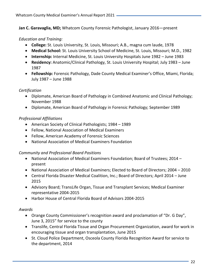**Jan C. Garavaglia, MD;** Whatcom County Forensic Pathologist, January 2016—present

#### *Education and Training:*

- **College:** St. Louis University, St. Louis, Missouri; A.B., magna cum laude, 1978
- **Medical School:** St. Louis University School of Medicine, St. Louis, Missouri; M.D., 1982
- **Internship:** Internal Medicine, St. Louis University Hospitals June 1982 June 1983
- **Residency:** Anatomic/Clinical Pathology, St. Louis University Hospital; July 1983 June 1987
- **Fellowship:** Forensic Pathology, Dade County Medical Examiner's Office, Miami, Florida; July 1987 – June 1988

## *Certification*

- Diplomate, American Board of Pathology in Combined Anatomic and Clinical Pathology; November 1988
- Diplomate, American Board of Pathology in Forensic Pathology; September 1989

#### *Professional Affiliations*

- American Society of Clinical Pathologists; 1984 1989
- Fellow, National Association of Medical Examiners
- Fellow, American Academy of Forensic Sciences
- National Association of Medical Examiners Foundation

#### *Community and Professional Board Positions*

- National Association of Medical Examiners Foundation; Board of Trustees; 2014 present
- National Association of Medical Examiners; Elected to Board of Directors; 2004 2010
- Central Florida Disaster Medical Coalition, Inc.; Board of Directors; April 2014 June 2015
- Advisory Board; TransLife Organ, Tissue and Transplant Services; Medical Examiner representative 2004-2015
- Harbor House of Central Florida Board of Advisors 2004-2015

#### *Awards*

- Orange County Commissioner's recognition award and proclamation of "Dr. G Day", June 3, 2015" for service to the county
- Translife, Central Florida Tissue and Organ Procurement Organization, award for work in encouraging tissue and organ transplantation, June 2015
- St. Cloud Police Department, Osceola County Florida Recognition Award for service to the department, 2014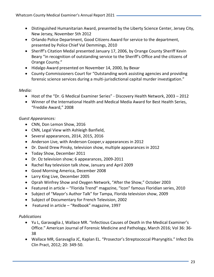- Distinguished Humanitarian Award, presented by the Liberty Science Center, Jersey City, New Jersey, November 5th 2012
- Orlando Police Department, Good Citizens Award for service to the department, presented by Police Chief Val Demmings, 2010
- Sheriff's Citation Medal presented January 17, 2006, by Orange County Sheriff Kevin Beary "in recognition of outstanding service to the Sheriff's Office and the citizens of Orange County."
- Hidalgo Award presented on November 14, 2000, by Bexar
- County Commissioners Court for "Outstanding work assisting agencies and providing forensic science services during a multi-jurisdictional capital murder investigation."

## *Media:*

- Host of the "Dr. G Medical Examiner Series" Discovery Health Network, 2003 2012
- Winner of the International Health and Medical Media Award for Best Health Series, "Freddie Award," 2008

# *Guest Appearances:*

- CNN, Don Lemon Show, 2016
- CNN, Legal View with Ashleigh Banfield,
- Several appearances, 2014, 2015, 2016
- Anderson Live, with Anderson Cooper,v appearances in 2012
- Dr. David Drew Pinsky, television show, multiple appearances in 2012
- Today Show, December 2011
- Dr. Oz television show; 6 appearances, 2009-2011
- Rachel Ray television talk show, January and April 2009
- Good Morning America, December 2008
- Larry King Live, December 2005
- Oprah Winfrey Show and Oxygen Network, "After the Show," October 2003
- Featured in article "Florida Trend" magazine, "Icon" famous Floridian series, 2010
- Subject of "Mayor's Author Talk" for Tampa, Florida television show, 2009
- Subject of Documentary for French Television, 2002
- Featured in article "Redbook" magazine, 1997

# *Publications*

- Yu L, Garavaglia J, Wallace MR. "Infectious Causes of Death in the Medical Examiner's Office." American Journal of Forensic Medicine and Pathology, March 2016; Vol 36: 36- 38
- Wallace MR, Garavaglia JC, Kaplan EL. "Prosector's Streptococcal Pharyngitis." Infect Dis Clin Pract, 2012; 20: 349-50.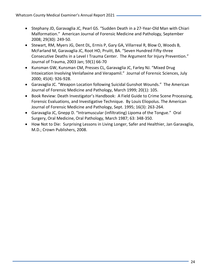- Stephany JD, Garavaglia JC, Pearl GS. "Sudden Death in a 27-Year-Old Man with Chiari Malformation." American Journal of Forensic Medicine and Pathology, September 2008; 29(30): 249-50.
- Stewart, RM, Myers JG, Dent DL, Ermis P, Gary GA, Villarreal R, Blow O, Woods B, McFarland M, Garavaglia JC, Root HO, Pruitt, BA. "Seven Hundred Fifty-three Consecutive Deaths in a Level I Trauma Center. The Argument for Injury Prevention." Journal of Trauma, 2003 Jan; 59(1) 66-70
- Kunsman GW, Kunsman CM, Presses CL, Garavaglia JC, Farley NJ. "Mixed Drug Intoxication Involving Venlafaxine and Verapamil." Journal of Forensic Sciences, July 2000; 45(4): 926-928.
- Garavaglia JC. "Weapon Location following Suicidal Gunshot Wounds." The American Journal of Forensic Medicine and Pathology, March 1999; 20(1): 105.
- Book Review: Death Investigator's Handbook: A Field Guide to Crime Scene Processing, Forensic Evaluations, and Investigative Technique. By Louis Eliopolus. The American Journal of Forensic Medicine and Pathology, Sept. 1995; 16(3): 263-264.
- Garavaglia JC, Gnepp D. "Intramuscular (infiltrating) Lipoma of the Tongue." Oral Surgery, Oral Medicine, Oral Pathology, March 1987; 63: 348-350.
- How Not to Die: Surprising Lessons in Living Longer, Safer and Healthier, Jan Garavaglia, M.D.; Crown Publishers, 2008.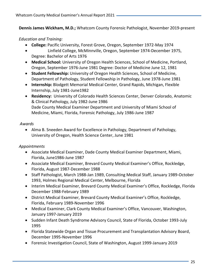**Dennis James Wickham, M.D.;** Whatcom County Forensic Pathologist, November 2019-present

## *Education and Training:*

- **College:** Pacific University, Forest Grove, Oregon, September 1972-May 1974
- •Linfield College, McMinnville, Oregon, September 1974-December 1975, Degree: Bachelor of Arts 1976
- **Medical School:** University of Oregon Health Sciences, School of Medicine, Portland, Oregon, September 1976-June 1981 Degree: Doctor of Medicine June 12, 1981
- **Student Fellowship:** University of Oregon Health Sciences, School of Medicine, Department of Pathology, Student Fellowship in Pathology, June 1978-June 1981
- **Internship:** Blodgett Memorial Medical Center, Grand Rapids, Michigan, Flexible Internship, July 1981-June1982
- **Residency:** University of Colorado Health Sciences Center, Denver Colorado, Anatomic & Clinical Pathology, July 1982-June 1986 Dade County Medical Examiner Department and University of Miami School of Medicine, Miami, Florida, Forensic Pathology, July 1986-June 1987

## *Awards*

• Alma B. Sneeden Award for Excellence in Pathology, Department of Pathology, University of Oregon, Health Science Center, June 1981

# *Appointments*

- Associate Medical Examiner, Dade County Medical Examiner Department, Miami, Florida, June1986-June 1987
- Associate Medical Examiner, Brevard County Medical Examiner's Office, Rockledge, Florida, August 1987-December 1988
- Staff Pathologist, March 1988-Jan 1989, Consulting Medical Staff, January 1989-October 1993, Holmes Regional Medical Center, Melbourne, Florida
- Interim Medical Examiner, Brevard County Medical Examiner's Office, Rockledge, Florida December 1988-February 1989
- District Medical Examiner, Brevard County Medical Examiner's Office, Rockledge, Florida, February 1989-November 1996
- Medical Examiner, Clark County Medical Examiner's Office, Vancouver, Washington, January 1997-January 2019
- Sudden Infant Death Syndrome Advisory Council, State of Florida, October 1993-July 1995
- Florida Statewide Organ and Tissue Procurement and Transplantation Advisory Board, December 1995-November 1996
- Forensic Investigation Council, State of Washington, August 1999-January 2019